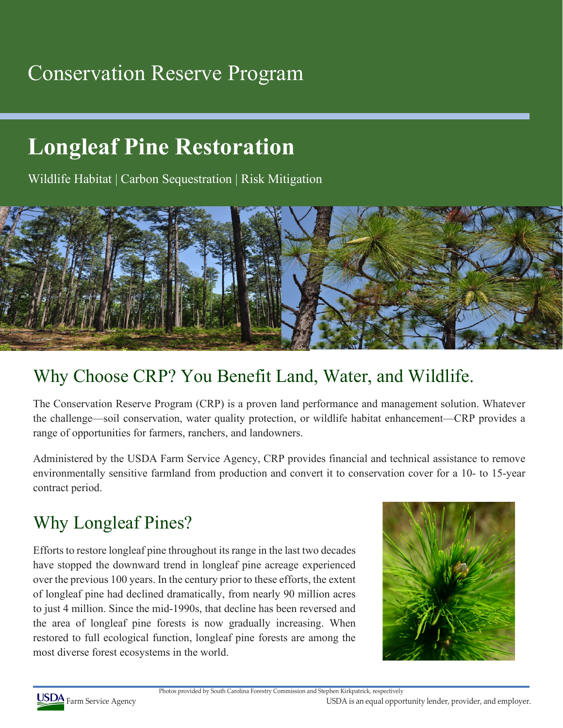## Conservation Reserve Program

# **Longleaf Pine Restoration**

Wildlife Habitat | Carbon Sequestration | Risk Mitigation



#### Why Choose CRP? You Benefit Land, Water, and Wildlife.

The Conservation Reserve Program (CRP) is a proven land performance and management solution. Whatever the challenge—soil conservation, water quality protection, or wildlife habitat enhancement—CRP provides a range of opportunities for farmers, ranchers, and landowners.

Administered by the USDA Farm Service Agency, CRP provides financial and technical assistance to remove environmentally sensitive farmland from production and convert it to conservation cover for a 10- to 15-year contract period.

### Why Longleaf Pines?

Efforts to restore longleaf pine throughout its range in the last two decades have stopped the downward trend in longleaf pine acreage experienced over the previous 100 years. In the century prior to these efforts, the extent of longleaf pine had declined dramatically, from nearly 90 million acres to just 4 million. Since the mid-1990s, that decline has been reversed and the area of longleaf pine forests is now gradually increasing. When restored to full ecological function, longleaf pine forests are among the most diverse forest ecosystems in the world.





Photos provided by South Carolina Forestry Commission and Stephen Kirkpatrick, respectively